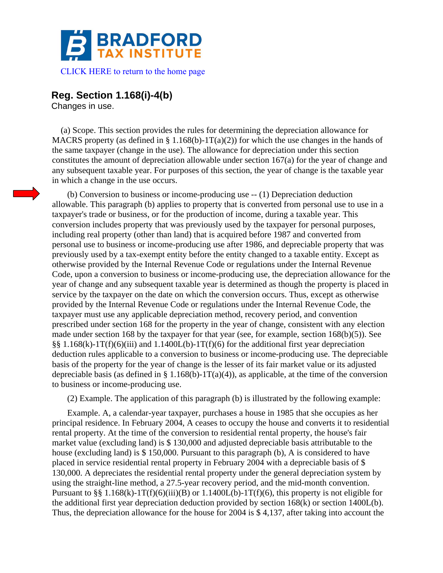

## **Reg. Section 1.168(i)-4(b)**

Changes in use.

 (a) Scope. This section provides the rules for determining the depreciation allowance for MACRS property (as defined in § 1.168(b)-1T(a)(2)) for which the use changes in the hands of the same taxpayer (change in the use). The allowance for depreciation under this section constitutes the amount of depreciation allowable under section 167(a) for the year of change and any subsequent taxable year. For purposes of this section, the year of change is the taxable year in which a change in the use occurs.

 (b) Conversion to business or income-producing use -- (1) Depreciation deduction allowable. This paragraph (b) applies to property that is converted from personal use to use in a taxpayer's trade or business, or for the production of income, during a taxable year. This conversion includes property that was previously used by the taxpayer for personal purposes, including real property (other than land) that is acquired before 1987 and converted from personal use to business or income-producing use after 1986, and depreciable property that was previously used by a tax-exempt entity before the entity changed to a taxable entity. Except as otherwise provided by the Internal Revenue Code or regulations under the Internal Revenue Code, upon a conversion to business or income-producing use, the depreciation allowance for the year of change and any subsequent taxable year is determined as though the property is placed in service by the taxpayer on the date on which the conversion occurs. Thus, except as otherwise provided by the Internal Revenue Code or regulations under the Internal Revenue Code, the taxpayer must use any applicable depreciation method, recovery period, and convention prescribed under section 168 for the property in the year of change, consistent with any election made under section 168 by the taxpayer for that year (see, for example, section 168(b)(5)). See  $\S$ § 1.168(k)-1T(f)(6)(iii) and 1.1400L(b)-1T(f)(6) for the additional first year depreciation deduction rules applicable to a conversion to business or income-producing use. The depreciable basis of the property for the year of change is the lesser of its fair market value or its adjusted depreciable basis (as defined in § 1.168(b)-1T(a)(4)), as applicable, at the time of the conversion to business or income-producing use.

(2) Example. The application of this paragraph (b) is illustrated by the following example:

 Example. A, a calendar-year taxpayer, purchases a house in 1985 that she occupies as her principal residence. In February 2004, A ceases to occupy the house and converts it to residential rental property. At the time of the conversion to residential rental property, the house's fair market value (excluding land) is \$ 130,000 and adjusted depreciable basis attributable to the house (excluding land) is \$ 150,000. Pursuant to this paragraph (b), A is considered to have placed in service residential rental property in February 2004 with a depreciable basis of \$ 130,000. A depreciates the residential rental property under the general depreciation system by using the straight-line method, a 27.5-year recovery period, and the mid-month convention. Pursuant to §§ 1.168(k)-1T(f)(6)(iii)(B) or 1.1400L(b)-1T(f)(6), this property is not eligible for the additional first year depreciation deduction provided by section 168(k) or section 1400L(b). Thus, the depreciation allowance for the house for 2004 is \$ 4,137, after taking into account the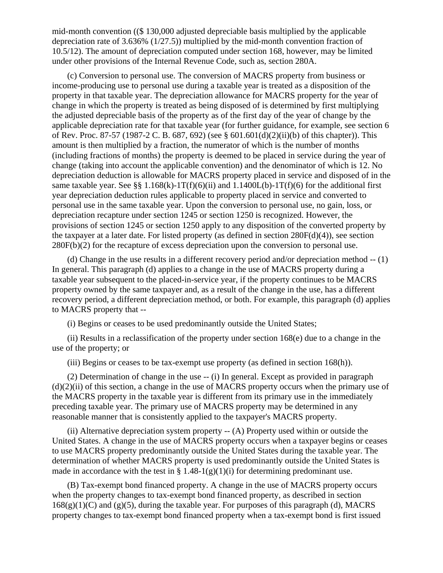mid-month convention ((\$ 130,000 adjusted depreciable basis multiplied by the applicable depreciation rate of 3.636% (1/27.5)) multiplied by the mid-month convention fraction of 10.5/12). The amount of depreciation computed under section 168, however, may be limited under other provisions of the Internal Revenue Code, such as, section 280A.

 (c) Conversion to personal use. The conversion of MACRS property from business or income-producing use to personal use during a taxable year is treated as a disposition of the property in that taxable year. The depreciation allowance for MACRS property for the year of change in which the property is treated as being disposed of is determined by first multiplying the adjusted depreciable basis of the property as of the first day of the year of change by the applicable depreciation rate for that taxable year (for further guidance, for example, see section 6 of Rev. Proc. 87-57 (1987-2 C. B. 687, 692) (see § 601.601(d)(2)(ii)(b) of this chapter)). This amount is then multiplied by a fraction, the numerator of which is the number of months (including fractions of months) the property is deemed to be placed in service during the year of change (taking into account the applicable convention) and the denominator of which is 12. No depreciation deduction is allowable for MACRS property placed in service and disposed of in the same taxable year. See §§ 1.168(k)-1T(f)(6)(ii) and 1.1400L(b)-1T(f)(6) for the additional first year depreciation deduction rules applicable to property placed in service and converted to personal use in the same taxable year. Upon the conversion to personal use, no gain, loss, or depreciation recapture under section 1245 or section 1250 is recognized. However, the provisions of section 1245 or section 1250 apply to any disposition of the converted property by the taxpayer at a later date. For listed property (as defined in section 280F(d)(4)), see section 280F(b)(2) for the recapture of excess depreciation upon the conversion to personal use.

 (d) Change in the use results in a different recovery period and/or depreciation method -- (1) In general. This paragraph (d) applies to a change in the use of MACRS property during a taxable year subsequent to the placed-in-service year, if the property continues to be MACRS property owned by the same taxpayer and, as a result of the change in the use, has a different recovery period, a different depreciation method, or both. For example, this paragraph (d) applies to MACRS property that --

(i) Begins or ceases to be used predominantly outside the United States;

(ii) Results in a reclassification of the property under section  $168(e)$  due to a change in the use of the property; or

(iii) Begins or ceases to be tax-exempt use property (as defined in section 168(h)).

 (2) Determination of change in the use -- (i) In general. Except as provided in paragraph  $(d)(2)(ii)$  of this section, a change in the use of MACRS property occurs when the primary use of the MACRS property in the taxable year is different from its primary use in the immediately preceding taxable year. The primary use of MACRS property may be determined in any reasonable manner that is consistently applied to the taxpayer's MACRS property.

 (ii) Alternative depreciation system property -- (A) Property used within or outside the United States. A change in the use of MACRS property occurs when a taxpayer begins or ceases to use MACRS property predominantly outside the United States during the taxable year. The determination of whether MACRS property is used predominantly outside the United States is made in accordance with the test in § 1.48-1(g)(1)(i) for determining predominant use.

 (B) Tax-exempt bond financed property. A change in the use of MACRS property occurs when the property changes to tax-exempt bond financed property, as described in section  $168(g)(1)(C)$  and  $(g)(5)$ , during the taxable year. For purposes of this paragraph (d), MACRS property changes to tax-exempt bond financed property when a tax-exempt bond is first issued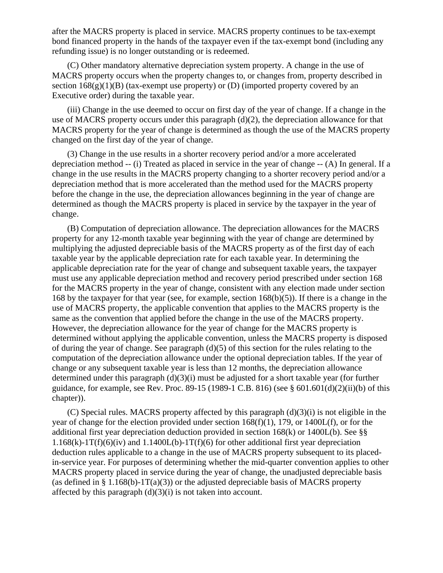after the MACRS property is placed in service. MACRS property continues to be tax-exempt bond financed property in the hands of the taxpayer even if the tax-exempt bond (including any refunding issue) is no longer outstanding or is redeemed.

 (C) Other mandatory alternative depreciation system property. A change in the use of MACRS property occurs when the property changes to, or changes from, property described in section  $168(g)(1)(B)$  (tax-exempt use property) or (D) (imported property covered by an Executive order) during the taxable year.

 (iii) Change in the use deemed to occur on first day of the year of change. If a change in the use of MACRS property occurs under this paragraph (d)(2), the depreciation allowance for that MACRS property for the year of change is determined as though the use of the MACRS property changed on the first day of the year of change.

 (3) Change in the use results in a shorter recovery period and/or a more accelerated depreciation method -- (i) Treated as placed in service in the year of change -- (A) In general. If a change in the use results in the MACRS property changing to a shorter recovery period and/or a depreciation method that is more accelerated than the method used for the MACRS property before the change in the use, the depreciation allowances beginning in the year of change are determined as though the MACRS property is placed in service by the taxpayer in the year of change.

 (B) Computation of depreciation allowance. The depreciation allowances for the MACRS property for any 12-month taxable year beginning with the year of change are determined by multiplying the adjusted depreciable basis of the MACRS property as of the first day of each taxable year by the applicable depreciation rate for each taxable year. In determining the applicable depreciation rate for the year of change and subsequent taxable years, the taxpayer must use any applicable depreciation method and recovery period prescribed under section 168 for the MACRS property in the year of change, consistent with any election made under section 168 by the taxpayer for that year (see, for example, section 168(b)(5)). If there is a change in the use of MACRS property, the applicable convention that applies to the MACRS property is the same as the convention that applied before the change in the use of the MACRS property. However, the depreciation allowance for the year of change for the MACRS property is determined without applying the applicable convention, unless the MACRS property is disposed of during the year of change. See paragraph (d)(5) of this section for the rules relating to the computation of the depreciation allowance under the optional depreciation tables. If the year of change or any subsequent taxable year is less than 12 months, the depreciation allowance determined under this paragraph (d)(3)(i) must be adjusted for a short taxable year (for further guidance, for example, see Rev. Proc. 89-15 (1989-1 C.B. 816) (see § 601.601(d)(2)(ii)(b) of this chapter)).

 (C) Special rules. MACRS property affected by this paragraph (d)(3)(i) is not eligible in the year of change for the election provided under section  $168(f)(1)$ , 179, or 1400L(f), or for the additional first year depreciation deduction provided in section 168(k) or 1400L(b). See §§  $1.168(k)$ -1T(f)(6)(iv) and  $1.1400L(b)$ -1T(f)(6) for other additional first year depreciation deduction rules applicable to a change in the use of MACRS property subsequent to its placedin-service year. For purposes of determining whether the mid-quarter convention applies to other MACRS property placed in service during the year of change, the unadjusted depreciable basis (as defined in § 1.168(b)-1T(a)(3)) or the adjusted depreciable basis of MACRS property affected by this paragraph  $(d)(3)(i)$  is not taken into account.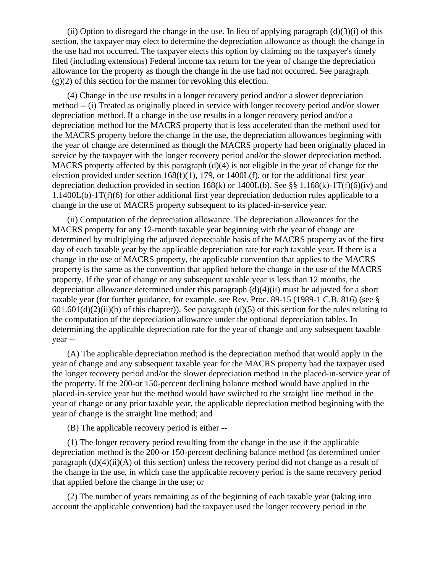(ii) Option to disregard the change in the use. In lieu of applying paragraph  $(d)(3)(i)$  of this section, the taxpayer may elect to determine the depreciation allowance as though the change in the use had not occurred. The taxpayer elects this option by claiming on the taxpayer's timely filed (including extensions) Federal income tax return for the year of change the depreciation allowance for the property as though the change in the use had not occurred. See paragraph  $(g)(2)$  of this section for the manner for revoking this election.

 (4) Change in the use results in a longer recovery period and/or a slower depreciation method -- (i) Treated as originally placed in service with longer recovery period and/or slower depreciation method. If a change in the use results in a longer recovery period and/or a depreciation method for the MACRS property that is less accelerated than the method used for the MACRS property before the change in the use, the depreciation allowances beginning with the year of change are determined as though the MACRS property had been originally placed in service by the taxpayer with the longer recovery period and/or the slower depreciation method. MACRS property affected by this paragraph (d)(4) is not eligible in the year of change for the election provided under section  $168(f)(1)$ , 179, or  $1400L(f)$ , or for the additional first year depreciation deduction provided in section  $168(k)$  or  $1400L(b)$ . See §§ 1.168(k)-1T(f)(6)(iv) and  $1.1400L(b)-1T(f)(6)$  for other additional first year depreciation deduction rules applicable to a change in the use of MACRS property subsequent to its placed-in-service year.

 (ii) Computation of the depreciation allowance. The depreciation allowances for the MACRS property for any 12-month taxable year beginning with the year of change are determined by multiplying the adjusted depreciable basis of the MACRS property as of the first day of each taxable year by the applicable depreciation rate for each taxable year. If there is a change in the use of MACRS property, the applicable convention that applies to the MACRS property is the same as the convention that applied before the change in the use of the MACRS property. If the year of change or any subsequent taxable year is less than 12 months, the depreciation allowance determined under this paragraph  $(d)(4)(ii)$  must be adjusted for a short taxable year (for further guidance, for example, see Rev. Proc. 89-15 (1989-1 C.B. 816) (see §  $601.601(d)(2)(ii)(b)$  of this chapter)). See paragraph (d)(5) of this section for the rules relating to the computation of the depreciation allowance under the optional depreciation tables. In determining the applicable depreciation rate for the year of change and any subsequent taxable year --

 (A) The applicable depreciation method is the depreciation method that would apply in the year of change and any subsequent taxable year for the MACRS property had the taxpayer used the longer recovery period and/or the slower depreciation method in the placed-in-service year of the property. If the 200-or 150-percent declining balance method would have applied in the placed-in-service year but the method would have switched to the straight line method in the year of change or any prior taxable year, the applicable depreciation method beginning with the year of change is the straight line method; and

(B) The applicable recovery period is either --

 (1) The longer recovery period resulting from the change in the use if the applicable depreciation method is the 200-or 150-percent declining balance method (as determined under paragraph  $(d)(4)(ii)(A)$  of this section) unless the recovery period did not change as a result of the change in the use, in which case the applicable recovery period is the same recovery period that applied before the change in the use; or

 (2) The number of years remaining as of the beginning of each taxable year (taking into account the applicable convention) had the taxpayer used the longer recovery period in the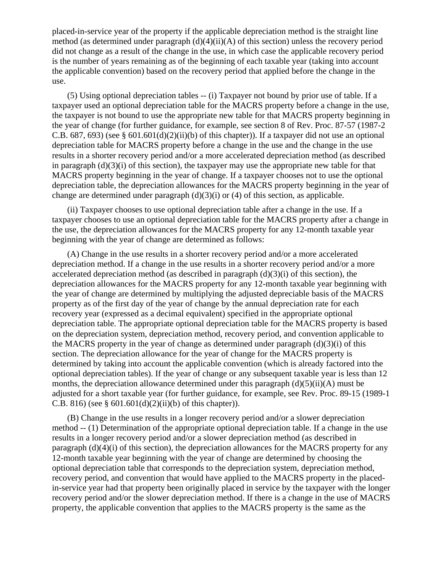placed-in-service year of the property if the applicable depreciation method is the straight line method (as determined under paragraph  $(d)(4)(ii)(A)$  of this section) unless the recovery period did not change as a result of the change in the use, in which case the applicable recovery period is the number of years remaining as of the beginning of each taxable year (taking into account the applicable convention) based on the recovery period that applied before the change in the use.

 (5) Using optional depreciation tables -- (i) Taxpayer not bound by prior use of table. If a taxpayer used an optional depreciation table for the MACRS property before a change in the use, the taxpayer is not bound to use the appropriate new table for that MACRS property beginning in the year of change (for further guidance, for example, see section 8 of Rev. Proc. 87-57 (1987-2 C.B. 687, 693) (see § 601.601(d)(2)(ii)(b) of this chapter)). If a taxpayer did not use an optional depreciation table for MACRS property before a change in the use and the change in the use results in a shorter recovery period and/or a more accelerated depreciation method (as described in paragraph  $(d)(3)(i)$  of this section), the taxpayer may use the appropriate new table for that MACRS property beginning in the year of change. If a taxpayer chooses not to use the optional depreciation table, the depreciation allowances for the MACRS property beginning in the year of change are determined under paragraph  $(d)(3)(i)$  or  $(4)$  of this section, as applicable.

 (ii) Taxpayer chooses to use optional depreciation table after a change in the use. If a taxpayer chooses to use an optional depreciation table for the MACRS property after a change in the use, the depreciation allowances for the MACRS property for any 12-month taxable year beginning with the year of change are determined as follows:

 (A) Change in the use results in a shorter recovery period and/or a more accelerated depreciation method. If a change in the use results in a shorter recovery period and/or a more accelerated depreciation method (as described in paragraph (d)(3)(i) of this section), the depreciation allowances for the MACRS property for any 12-month taxable year beginning with the year of change are determined by multiplying the adjusted depreciable basis of the MACRS property as of the first day of the year of change by the annual depreciation rate for each recovery year (expressed as a decimal equivalent) specified in the appropriate optional depreciation table. The appropriate optional depreciation table for the MACRS property is based on the depreciation system, depreciation method, recovery period, and convention applicable to the MACRS property in the year of change as determined under paragraph  $(d)(3)(i)$  of this section. The depreciation allowance for the year of change for the MACRS property is determined by taking into account the applicable convention (which is already factored into the optional depreciation tables). If the year of change or any subsequent taxable year is less than 12 months, the depreciation allowance determined under this paragraph  $(d)(5)(ii)(A)$  must be adjusted for a short taxable year (for further guidance, for example, see Rev. Proc. 89-15 (1989-1 C.B. 816) (see §  $601.601(d)(2)(ii)(b)$  of this chapter)).

 (B) Change in the use results in a longer recovery period and/or a slower depreciation method -- (1) Determination of the appropriate optional depreciation table. If a change in the use results in a longer recovery period and/or a slower depreciation method (as described in paragraph (d)(4)(i) of this section), the depreciation allowances for the MACRS property for any 12-month taxable year beginning with the year of change are determined by choosing the optional depreciation table that corresponds to the depreciation system, depreciation method, recovery period, and convention that would have applied to the MACRS property in the placedin-service year had that property been originally placed in service by the taxpayer with the longer recovery period and/or the slower depreciation method. If there is a change in the use of MACRS property, the applicable convention that applies to the MACRS property is the same as the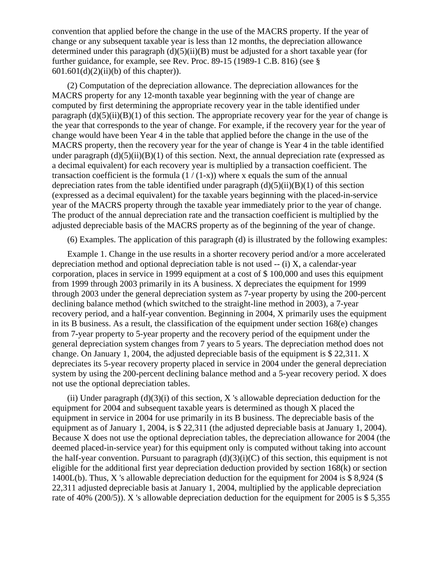convention that applied before the change in the use of the MACRS property. If the year of change or any subsequent taxable year is less than 12 months, the depreciation allowance determined under this paragraph  $(d)(5)(ii)(B)$  must be adjusted for a short taxable year (for further guidance, for example, see Rev. Proc. 89-15 (1989-1 C.B. 816) (see § 601.601(d)(2)(ii)(b) of this chapter)).

 (2) Computation of the depreciation allowance. The depreciation allowances for the MACRS property for any 12-month taxable year beginning with the year of change are computed by first determining the appropriate recovery year in the table identified under paragraph  $(d)(5)(ii)(B)(1)$  of this section. The appropriate recovery year for the year of change is the year that corresponds to the year of change. For example, if the recovery year for the year of change would have been Year 4 in the table that applied before the change in the use of the MACRS property, then the recovery year for the year of change is Year 4 in the table identified under paragraph  $(d)(5)(ii)(B)(1)$  of this section. Next, the annual depreciation rate (expressed as a decimal equivalent) for each recovery year is multiplied by a transaction coefficient. The transaction coefficient is the formula  $(1/(1-x))$  where x equals the sum of the annual depreciation rates from the table identified under paragraph  $(d)(5)(ii)(B)(1)$  of this section (expressed as a decimal equivalent) for the taxable years beginning with the placed-in-service year of the MACRS property through the taxable year immediately prior to the year of change. The product of the annual depreciation rate and the transaction coefficient is multiplied by the adjusted depreciable basis of the MACRS property as of the beginning of the year of change.

(6) Examples. The application of this paragraph (d) is illustrated by the following examples:

 Example 1. Change in the use results in a shorter recovery period and/or a more accelerated depreciation method and optional depreciation table is not used -- (i) X, a calendar-year corporation, places in service in 1999 equipment at a cost of \$ 100,000 and uses this equipment from 1999 through 2003 primarily in its A business. X depreciates the equipment for 1999 through 2003 under the general depreciation system as 7-year property by using the 200-percent declining balance method (which switched to the straight-line method in 2003), a 7-year recovery period, and a half-year convention. Beginning in 2004, X primarily uses the equipment in its B business. As a result, the classification of the equipment under section 168(e) changes from 7-year property to 5-year property and the recovery period of the equipment under the general depreciation system changes from 7 years to 5 years. The depreciation method does not change. On January 1, 2004, the adjusted depreciable basis of the equipment is \$ 22,311. X depreciates its 5-year recovery property placed in service in 2004 under the general depreciation system by using the 200-percent declining balance method and a 5-year recovery period. X does not use the optional depreciation tables.

(ii) Under paragraph  $(d)(3)(i)$  of this section, X 's allowable depreciation deduction for the equipment for 2004 and subsequent taxable years is determined as though X placed the equipment in service in 2004 for use primarily in its B business. The depreciable basis of the equipment as of January 1, 2004, is \$ 22,311 (the adjusted depreciable basis at January 1, 2004). Because X does not use the optional depreciation tables, the depreciation allowance for 2004 (the deemed placed-in-service year) for this equipment only is computed without taking into account the half-year convention. Pursuant to paragraph  $(d)(3)(i)(C)$  of this section, this equipment is not eligible for the additional first year depreciation deduction provided by section 168(k) or section 1400L(b). Thus, X 's allowable depreciation deduction for the equipment for 2004 is \$ 8,924 (\$ 22,311 adjusted depreciable basis at January 1, 2004, multiplied by the applicable depreciation rate of 40% (200/5)). X 's allowable depreciation deduction for the equipment for 2005 is \$ 5,355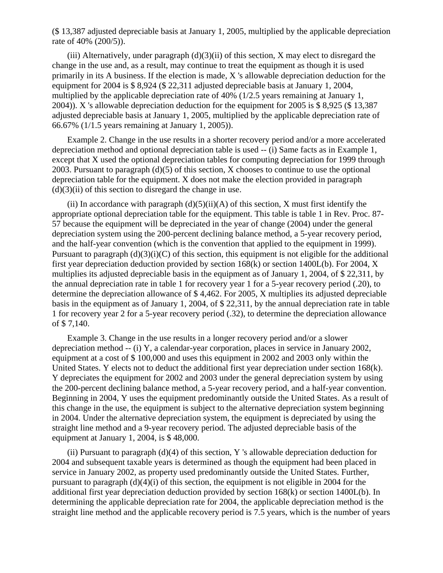(\$ 13,387 adjusted depreciable basis at January 1, 2005, multiplied by the applicable depreciation rate of 40% (200/5)).

(iii) Alternatively, under paragraph  $(d)(3)(ii)$  of this section, X may elect to disregard the change in the use and, as a result, may continue to treat the equipment as though it is used primarily in its A business. If the election is made, X 's allowable depreciation deduction for the equipment for 2004 is \$ 8,924 (\$ 22,311 adjusted depreciable basis at January 1, 2004, multiplied by the applicable depreciation rate of 40% (1/2.5 years remaining at January 1, 2004)). X 's allowable depreciation deduction for the equipment for 2005 is \$ 8,925 (\$ 13,387 adjusted depreciable basis at January 1, 2005, multiplied by the applicable depreciation rate of 66.67% (1/1.5 years remaining at January 1, 2005)).

 Example 2. Change in the use results in a shorter recovery period and/or a more accelerated depreciation method and optional depreciation table is used -- (i) Same facts as in Example 1, except that X used the optional depreciation tables for computing depreciation for 1999 through 2003. Pursuant to paragraph (d)(5) of this section, X chooses to continue to use the optional depreciation table for the equipment. X does not make the election provided in paragraph  $(d)(3)(ii)$  of this section to disregard the change in use.

(ii) In accordance with paragraph  $(d)(5)(ii)(A)$  of this section, X must first identify the appropriate optional depreciation table for the equipment. This table is table 1 in Rev. Proc. 87- 57 because the equipment will be depreciated in the year of change (2004) under the general depreciation system using the 200-percent declining balance method, a 5-year recovery period, and the half-year convention (which is the convention that applied to the equipment in 1999). Pursuant to paragraph  $(d)(3)(i)(C)$  of this section, this equipment is not eligible for the additional first year depreciation deduction provided by section 168(k) or section 1400L(b). For 2004, X multiplies its adjusted depreciable basis in the equipment as of January 1, 2004, of \$ 22,311, by the annual depreciation rate in table 1 for recovery year 1 for a 5-year recovery period (.20), to determine the depreciation allowance of \$ 4,462. For 2005, X multiplies its adjusted depreciable basis in the equipment as of January 1, 2004, of \$ 22,311, by the annual depreciation rate in table 1 for recovery year 2 for a 5-year recovery period (.32), to determine the depreciation allowance of \$ 7,140.

 Example 3. Change in the use results in a longer recovery period and/or a slower depreciation method -- (i) Y, a calendar-year corporation, places in service in January 2002, equipment at a cost of \$ 100,000 and uses this equipment in 2002 and 2003 only within the United States. Y elects not to deduct the additional first year depreciation under section 168(k). Y depreciates the equipment for 2002 and 2003 under the general depreciation system by using the 200-percent declining balance method, a 5-year recovery period, and a half-year convention. Beginning in 2004, Y uses the equipment predominantly outside the United States. As a result of this change in the use, the equipment is subject to the alternative depreciation system beginning in 2004. Under the alternative depreciation system, the equipment is depreciated by using the straight line method and a 9-year recovery period. The adjusted depreciable basis of the equipment at January 1, 2004, is \$ 48,000.

(ii) Pursuant to paragraph  $(d)(4)$  of this section, Y 's allowable depreciation deduction for 2004 and subsequent taxable years is determined as though the equipment had been placed in service in January 2002, as property used predominantly outside the United States. Further, pursuant to paragraph (d)(4)(i) of this section, the equipment is not eligible in 2004 for the additional first year depreciation deduction provided by section 168(k) or section 1400L(b). In determining the applicable depreciation rate for 2004, the applicable depreciation method is the straight line method and the applicable recovery period is 7.5 years, which is the number of years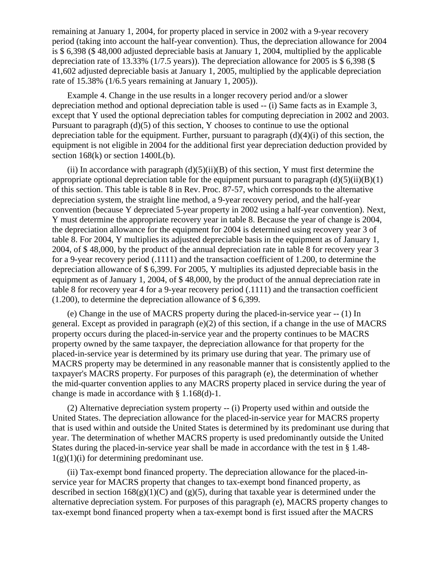remaining at January 1, 2004, for property placed in service in 2002 with a 9-year recovery period (taking into account the half-year convention). Thus, the depreciation allowance for 2004 is \$ 6,398 (\$ 48,000 adjusted depreciable basis at January 1, 2004, multiplied by the applicable depreciation rate of 13.33% (1/7.5 years)). The depreciation allowance for 2005 is \$ 6,398 (\$ 41,602 adjusted depreciable basis at January 1, 2005, multiplied by the applicable depreciation rate of 15.38% (1/6.5 years remaining at January 1, 2005)).

 Example 4. Change in the use results in a longer recovery period and/or a slower depreciation method and optional depreciation table is used -- (i) Same facts as in Example 3, except that Y used the optional depreciation tables for computing depreciation in 2002 and 2003. Pursuant to paragraph  $(d)(5)$  of this section, Y chooses to continue to use the optional depreciation table for the equipment. Further, pursuant to paragraph  $(d)(4)(i)$  of this section, the equipment is not eligible in 2004 for the additional first year depreciation deduction provided by section  $168(k)$  or section  $1400L(b)$ .

(ii) In accordance with paragraph  $(d)(5)(ii)(B)$  of this section, Y must first determine the appropriate optional depreciation table for the equipment pursuant to paragraph  $(d)(5)(ii)(B)(1)$ of this section. This table is table 8 in Rev. Proc. 87-57, which corresponds to the alternative depreciation system, the straight line method, a 9-year recovery period, and the half-year convention (because Y depreciated 5-year property in 2002 using a half-year convention). Next, Y must determine the appropriate recovery year in table 8. Because the year of change is 2004, the depreciation allowance for the equipment for 2004 is determined using recovery year 3 of table 8. For 2004, Y multiplies its adjusted depreciable basis in the equipment as of January 1, 2004, of \$ 48,000, by the product of the annual depreciation rate in table 8 for recovery year 3 for a 9-year recovery period (.1111) and the transaction coefficient of 1.200, to determine the depreciation allowance of \$ 6,399. For 2005, Y multiplies its adjusted depreciable basis in the equipment as of January 1, 2004, of \$ 48,000, by the product of the annual depreciation rate in table 8 for recovery year 4 for a 9-year recovery period (.1111) and the transaction coefficient (1.200), to determine the depreciation allowance of \$ 6,399.

 (e) Change in the use of MACRS property during the placed-in-service year -- (1) In general. Except as provided in paragraph (e)(2) of this section, if a change in the use of MACRS property occurs during the placed-in-service year and the property continues to be MACRS property owned by the same taxpayer, the depreciation allowance for that property for the placed-in-service year is determined by its primary use during that year. The primary use of MACRS property may be determined in any reasonable manner that is consistently applied to the taxpayer's MACRS property. For purposes of this paragraph (e), the determination of whether the mid-quarter convention applies to any MACRS property placed in service during the year of change is made in accordance with § 1.168(d)-1.

 (2) Alternative depreciation system property -- (i) Property used within and outside the United States. The depreciation allowance for the placed-in-service year for MACRS property that is used within and outside the United States is determined by its predominant use during that year. The determination of whether MACRS property is used predominantly outside the United States during the placed-in-service year shall be made in accordance with the test in § 1.48-  $1(g)(1)(i)$  for determining predominant use.

 (ii) Tax-exempt bond financed property. The depreciation allowance for the placed-inservice year for MACRS property that changes to tax-exempt bond financed property, as described in section  $168(g)(1)(C)$  and  $(g)(5)$ , during that taxable year is determined under the alternative depreciation system. For purposes of this paragraph (e), MACRS property changes to tax-exempt bond financed property when a tax-exempt bond is first issued after the MACRS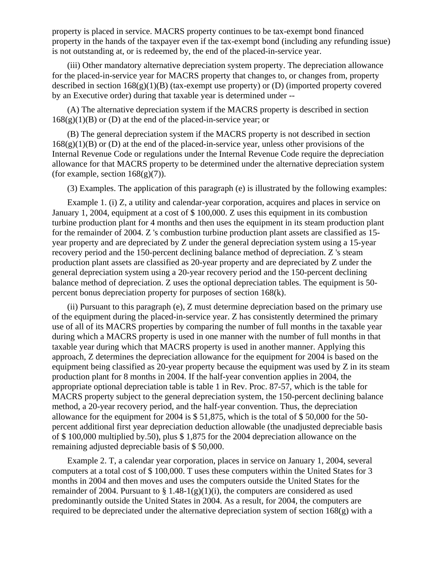property is placed in service. MACRS property continues to be tax-exempt bond financed property in the hands of the taxpayer even if the tax-exempt bond (including any refunding issue) is not outstanding at, or is redeemed by, the end of the placed-in-service year.

 (iii) Other mandatory alternative depreciation system property. The depreciation allowance for the placed-in-service year for MACRS property that changes to, or changes from, property described in section  $168(g)(1)(B)$  (tax-exempt use property) or (D) (imported property covered by an Executive order) during that taxable year is determined under --

 (A) The alternative depreciation system if the MACRS property is described in section  $168(g)(1)(B)$  or (D) at the end of the placed-in-service year; or

 (B) The general depreciation system if the MACRS property is not described in section  $168(g)(1)(B)$  or (D) at the end of the placed-in-service year, unless other provisions of the Internal Revenue Code or regulations under the Internal Revenue Code require the depreciation allowance for that MACRS property to be determined under the alternative depreciation system (for example, section  $168(g)(7)$ ).

(3) Examples. The application of this paragraph (e) is illustrated by the following examples:

 Example 1. (i) Z, a utility and calendar-year corporation, acquires and places in service on January 1, 2004, equipment at a cost of \$ 100,000. Z uses this equipment in its combustion turbine production plant for 4 months and then uses the equipment in its steam production plant for the remainder of 2004. Z 's combustion turbine production plant assets are classified as 15 year property and are depreciated by Z under the general depreciation system using a 15-year recovery period and the 150-percent declining balance method of depreciation. Z 's steam production plant assets are classified as 20-year property and are depreciated by Z under the general depreciation system using a 20-year recovery period and the 150-percent declining balance method of depreciation. Z uses the optional depreciation tables. The equipment is 50 percent bonus depreciation property for purposes of section 168(k).

 (ii) Pursuant to this paragraph (e), Z must determine depreciation based on the primary use of the equipment during the placed-in-service year. Z has consistently determined the primary use of all of its MACRS properties by comparing the number of full months in the taxable year during which a MACRS property is used in one manner with the number of full months in that taxable year during which that MACRS property is used in another manner. Applying this approach, Z determines the depreciation allowance for the equipment for 2004 is based on the equipment being classified as 20-year property because the equipment was used by Z in its steam production plant for 8 months in 2004. If the half-year convention applies in 2004, the appropriate optional depreciation table is table 1 in Rev. Proc. 87-57, which is the table for MACRS property subject to the general depreciation system, the 150-percent declining balance method, a 20-year recovery period, and the half-year convention. Thus, the depreciation allowance for the equipment for 2004 is \$ 51,875, which is the total of \$ 50,000 for the 50 percent additional first year depreciation deduction allowable (the unadjusted depreciable basis of \$ 100,000 multiplied by.50), plus \$ 1,875 for the 2004 depreciation allowance on the remaining adjusted depreciable basis of \$ 50,000.

 Example 2. T, a calendar year corporation, places in service on January 1, 2004, several computers at a total cost of \$ 100,000. T uses these computers within the United States for 3 months in 2004 and then moves and uses the computers outside the United States for the remainder of 2004. Pursuant to  $\S 1.48-1(g)(1)(i)$ , the computers are considered as used predominantly outside the United States in 2004. As a result, for 2004, the computers are required to be depreciated under the alternative depreciation system of section 168(g) with a